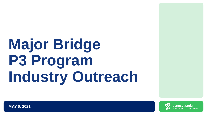## **Major Bridge P3 Program Industry Outreach**



**MAY 6, 2021**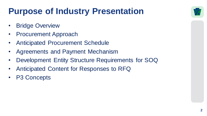### **Purpose of Industry Presentation**

- Bridge Overview
- Procurement Approach
- Anticipated Procurement Schedule
- Agreements and Payment Mechanism
- Development Entity Structure Requirements for SOQ
- Anticipated Content for Responses to RFQ
- P3 Concepts

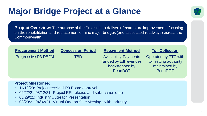### **Major Bridge Project at a Glance**



**Project Overview:** The purpose of the Project is to deliver infrastructure improvements focusing on the rehabilitation and replacement of nine major bridges (and associated roadways) across the Commonwealth.

| <b>Procurement Method</b>  | <b>Concession Period</b> | <b>Repayment Method</b>                                                              | <b>Toll Collection</b>                                                     |
|----------------------------|--------------------------|--------------------------------------------------------------------------------------|----------------------------------------------------------------------------|
| <b>Progressive P3 DBFM</b> | TBD.                     | <b>Availability Payments</b><br>funded by toll revenues<br>backstopped by<br>PennDOT | Operated by PTC with<br>toll setting authority<br>maintained by<br>PennDOT |

#### **Project Milestones:**

- 11/12/20: Project received P3 Board approval
- 02/22/21-03/12/21: Project RFI release and submission date
- 03/29/21: Industry Outreach Presentation
- 03/29/21-04/02/21: Virtual One-on-One Meetings with Industry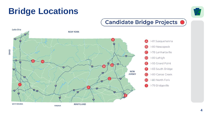### **Bridge Locations**



#### Candidate Bridge Projects <sup>O</sup>

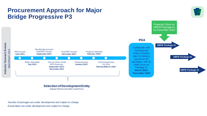#### **Procurement Approach for Major Bridge Progressive P3**



**Selection of Development Entity**

*(Equity Partners and other Lead Firms)* 

*Actual dates are under development and subject to change. Number of packages are under development and subject to change.*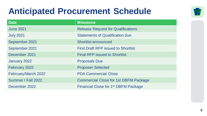### **Anticipated Procurement Schedule**



| <b>Date</b>         | <b>Milestone</b>                                 |
|---------------------|--------------------------------------------------|
| <b>June 2021</b>    | <b>Release Request for Qualifications</b>        |
| <b>July 2021</b>    | <b>Statements of Qualification due</b>           |
| September 2021      | <b>Shortlist announced</b>                       |
| September 2021      | <b>First Draft RFP issued to Shortlist</b>       |
| December 2021       | <b>Final RFP issued to Shortlist</b>             |
| January 2022        | <b>Proposals Due</b>                             |
| February 2022       | <b>Proposer Selected</b>                         |
| February/March 2022 | <b>PDA Commercial Close</b>                      |
| Summer / Fall 2022  | <b>Commercial Close for 1st DBFM Package</b>     |
| December 2022       | Financial Close for 1 <sup>st</sup> DBFM Package |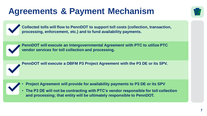### **Agreements & Payment Mechanism**



**Collected tolls will flow to PennDOT to support toll costs (collection, transaction, processing, enforcement, etc.) and to fund availability payments.** 



**PennDOT will execute an Intergovernmental Agreement with PTC to utilize PTC vendor services for toll collection and processing.**



**PennDOT will execute a DBFM P3 Project Agreement with the P3 DE or its SPV.** 

- **Project Agreement will provide for availability payments to P3 DE or its SPV**
- **The P3 DE will not be contracting with PTC's vendor responsible for toll collection and processing; that entity will be ultimately responsible to PennDOT.**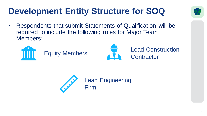### **Development Entity Structure for SOQ**



• Respondents that submit Statements of Qualification will be required to include the following roles for Major Team Members:





Equity Members **Lead Construction Contractor** 

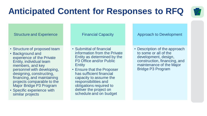### **Anticipated Content for Responses to RFQ**



#### Structure and Experience

- Structure of proposed team
- Background and experience of the Private Entity, individual team members, and key personnel with developing, designing, constructing, financing, and maintaining projects comparable to the Major Bridge P3 Program
- Specific experience with similar projects

Financial Capacity

- Submittal of financial information from the Private Entity as determined by the P3 Office and/or Public **Entity**
- Ensure that the Proposer has sufficient financial capacity to assume the responsibilities and obligations required to deliver the project on schedule and on budget

#### Approach to Development

• Description of the approach to some or all of the development, design, construction, financing, and maintenance of the Major Bridge P3 Program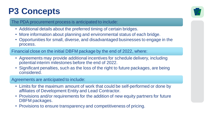#### **P3 Concepts**



#### The PDA procurement process is anticipated to include:

- Additional details about the preferred timing of certain bridges.
- More information about planning and environmental status of each bridge.
- Opportunities for small, diverse, and disadvantaged businesses to engage in the process.

Financial close on the initial DBFM package by the end of 2022, where:

- Agreements may provide additional incentives for schedule delivery, including potential interim milestones before the end of 2022.
- Significant penalties, such as the loss of the right to future packages, are being considered.

Agreements are anticipated to include:

- Limits for the maximum amount of work that could be self-performed or done by affiliates of Development Entity and Lead Contractor.
- Provisions and/or requirements for the addition of new equity partners for future DBFM packages.
- Provisions to ensure transparency and competitiveness of pricing.